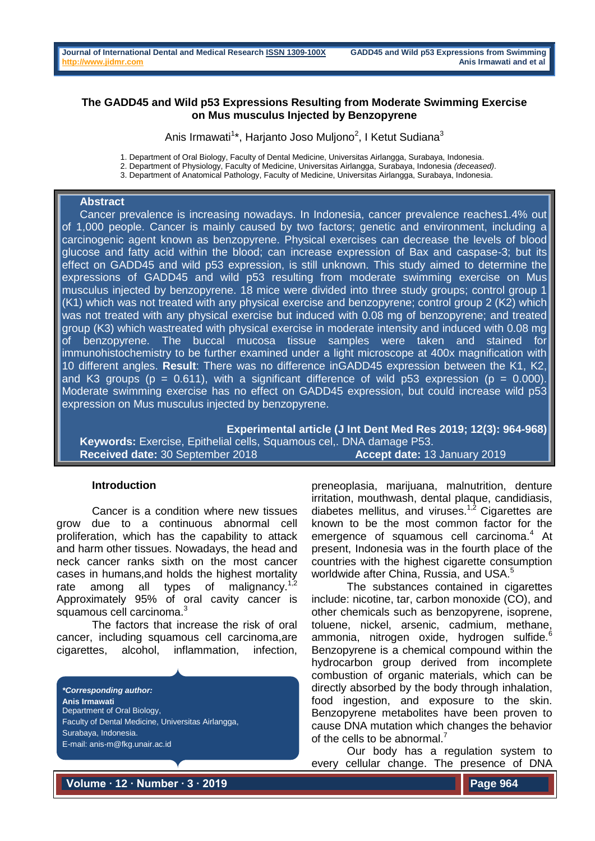# **The GADD45 and Wild p53 Expressions Resulting from Moderate Swimming Exercise on Mus musculus Injected by Benzopyrene**

Anis Irmawati<sup>1</sup>\*, Harjanto Joso Muljono<sup>2</sup>, I Ketut Sudiana<sup>3</sup>

1. Department of Oral Biology, Faculty of Dental Medicine, Universitas Airlangga, Surabaya, Indonesia.

2. Department of Physiology, Faculty of Medicine, Universitas Airlangga, Surabaya, Indonesia *(deceased)*.

3. Department of Anatomical Pathology, Faculty of Medicine, Universitas Airlangga, Surabaya, Indonesia.

#### **Abstract**

Cancer prevalence is increasing nowadays. In Indonesia, cancer prevalence reaches1.4% out of 1,000 people. Cancer is mainly caused by two factors; genetic and environment, including a carcinogenic agent known as benzopyrene. Physical exercises can decrease the levels of blood glucose and fatty acid within the blood; can increase expression of Bax and caspase-3; but its effect on GADD45 and wild p53 expression, is still unknown. This study aimed to determine the expressions of GADD45 and wild p53 resulting from moderate swimming exercise on Mus musculus injected by benzopyrene. 18 mice were divided into three study groups; control group 1 (K1) which was not treated with any physical exercise and benzopyrene; control group 2 (K2) which was not treated with any physical exercise but induced with 0.08 mg of benzopyrene; and treated group (K3) which wastreated with physical exercise in moderate intensity and induced with 0.08 mg of benzopyrene. The buccal mucosa tissue samples were taken and stained for immunohistochemistry to be further examined under a light microscope at 400x magnification with 10 different angles. **Result**: There was no difference inGADD45 expression between the K1, K2, and K3 groups ( $p = 0.611$ ), with a significant difference of wild p53 expression ( $p = 0.000$ ). Moderate swimming exercise has no effect on GADD45 expression, but could increase wild p53 expression on Mus musculus injected by benzopyrene.

**Experimental article (J Int Dent Med Res 2019; 12(3): 964-968) Keywords:** Exercise, Epithelial cells, Squamous cel,. DNA damage P53. **Received date:** 30 September 2018 **Accept date:** 13 January 2019

### **Introduction**

Cancer is a condition where new tissues grow due to a continuous abnormal cell proliferation, which has the capability to attack and harm other tissues. Nowadays, the head and neck cancer ranks sixth on the most cancer cases in humans,and holds the highest mortality rate among all types of malignancy.<sup>1,2</sup> Approximately 95% of oral cavity cancer is squamous cell carcinoma.<sup>3</sup>

The factors that increase the risk of oral cancer, including squamous cell carcinoma,are cigarettes, alcohol, inflammation, infection,

*\*Corresponding author:* **Anis Irmawati** Department of Oral Biology, Faculty of Dental Medicine, Universitas Airlangga, Surabaya, Indonesia. E-mail: anis-m@fkg.unair.ac.id

preneoplasia, marijuana, malnutrition, denture irritation, mouthwash, dental plaque, candidiasis, diabetes mellitus, and viruses.<sup>1,2</sup> Cigarettes are known to be the most common factor for the emergence of squamous cell carcinoma.<sup>4</sup> At present, Indonesia was in the fourth place of the countries with the highest cigarette consumption worldwide after China, Russia, and USA.<sup>5</sup>

The substances contained in cigarettes include: nicotine, tar, carbon monoxide (CO), and other chemicals such as benzopyrene, isoprene, toluene, nickel, arsenic, cadmium, methane, ammonia, nitrogen oxide, hydrogen sulfide.<sup>6</sup> Benzopyrene is a chemical compound within the hydrocarbon group derived from incomplete combustion of organic materials, which can be directly absorbed by the body through inhalation, food ingestion, and exposure to the skin. Benzopyrene metabolites have been proven to cause DNA mutation which changes the behavior of the cells to be abnormal.<sup>7</sup>

Our body has a regulation system to every cellular change. The presence of DNA

**Volume ∙ 12 ∙ Number ∙ 3 ∙ 2019**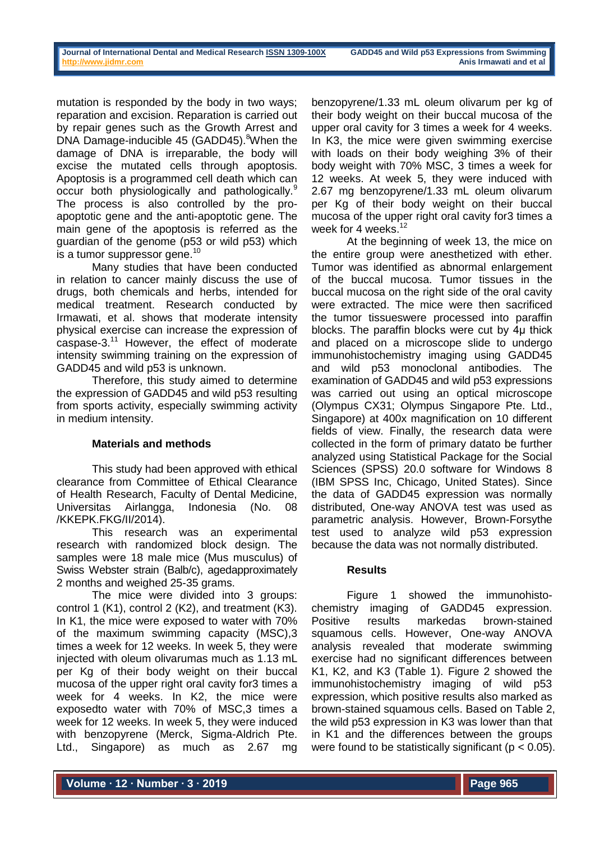mutation is responded by the body in two ways; reparation and excision. Reparation is carried out by repair genes such as the Growth Arrest and DNA Damage-inducible 45 (GADD45).<sup>8</sup>When the damage of DNA is irreparable, the body will excise the mutated cells through apoptosis. Apoptosis is a programmed cell death which can occur both physiologically and pathologically.<sup>9</sup> The process is also controlled by the proapoptotic gene and the anti-apoptotic gene. The main gene of the apoptosis is referred as the guardian of the genome (p53 or wild p53) which is a tumor suppressor gene.<sup>10</sup>

Many studies that have been conducted in relation to cancer mainly discuss the use of drugs, both chemicals and herbs, intended for medical treatment. Research conducted by Irmawati, et al. shows that moderate intensity physical exercise can increase the expression of caspase-3. $11$  However, the effect of moderate intensity swimming training on the expression of GADD45 and wild p53 is unknown.

Therefore, this study aimed to determine the expression of GADD45 and wild p53 resulting from sports activity, especially swimming activity in medium intensity.

# **Materials and methods**

This study had been approved with ethical clearance from Committee of Ethical Clearance of Health Research, Faculty of Dental Medicine, Universitas Airlangga, Indonesia (No. 08 /KKEPK.FKG/II/2014).

This research was an experimental research with randomized block design. The samples were 18 male mice (Mus musculus) of Swiss Webster strain (Balb/c), agedapproximately 2 months and weighed 25-35 grams.

The mice were divided into 3 groups: control 1 (K1), control 2 (K2), and treatment (K3). In K1, the mice were exposed to water with 70% of the maximum swimming capacity (MSC),3 times a week for 12 weeks. In week 5, they were injected with oleum olivarumas much as 1.13 mL per Kg of their body weight on their buccal mucosa of the upper right oral cavity for3 times a week for 4 weeks. In K2, the mice were exposedto water with 70% of MSC,3 times a week for 12 weeks. In week 5, they were induced with benzopyrene (Merck, Sigma-Aldrich Pte. Ltd., Singapore) as much as 2.67 mg

benzopyrene/1.33 mL oleum olivarum per kg of their body weight on their buccal mucosa of the upper oral cavity for 3 times a week for 4 weeks. In K3, the mice were given swimming exercise with loads on their body weighing 3% of their body weight with 70% MSC, 3 times a week for 12 weeks. At week 5, they were induced with 2.67 mg benzopyrene/1.33 mL oleum olivarum per Kg of their body weight on their buccal mucosa of the upper right oral cavity for3 times a week for 4 weeks.<sup>12</sup>

At the beginning of week 13, the mice on the entire group were anesthetized with ether. Tumor was identified as abnormal enlargement of the buccal mucosa. Tumor tissues in the buccal mucosa on the right side of the oral cavity were extracted. The mice were then sacrificed the tumor tissueswere processed into paraffin blocks. The paraffin blocks were cut by 4μ thick and placed on a microscope slide to undergo immunohistochemistry imaging using GADD45 and wild p53 monoclonal antibodies. The examination of GADD45 and wild p53 expressions was carried out using an optical microscope (Olympus CX31; Olympus Singapore Pte. Ltd., Singapore) at 400x magnification on 10 different fields of view. Finally, the research data were collected in the form of primary datato be further analyzed using Statistical Package for the Social Sciences (SPSS) 20.0 software for Windows 8 (IBM SPSS Inc, Chicago, United States). Since the data of GADD45 expression was normally distributed, One-way ANOVA test was used as parametric analysis. However, Brown-Forsythe test used to analyze wild p53 expression because the data was not normally distributed.

### **Results**

Figure 1 showed the immunohistochemistry imaging of GADD45 expression. Positive results markedas brown-stained squamous cells. However, One-way ANOVA analysis revealed that moderate swimming exercise had no significant differences between K1, K2, and K3 (Table 1). Figure 2 showed the immunohistochemistry imaging of wild p53 expression, which positive results also marked as brown-stained squamous cells. Based on Table 2, the wild p53 expression in K3 was lower than that in K1 and the differences between the groups were found to be statistically significant ( $p < 0.05$ ).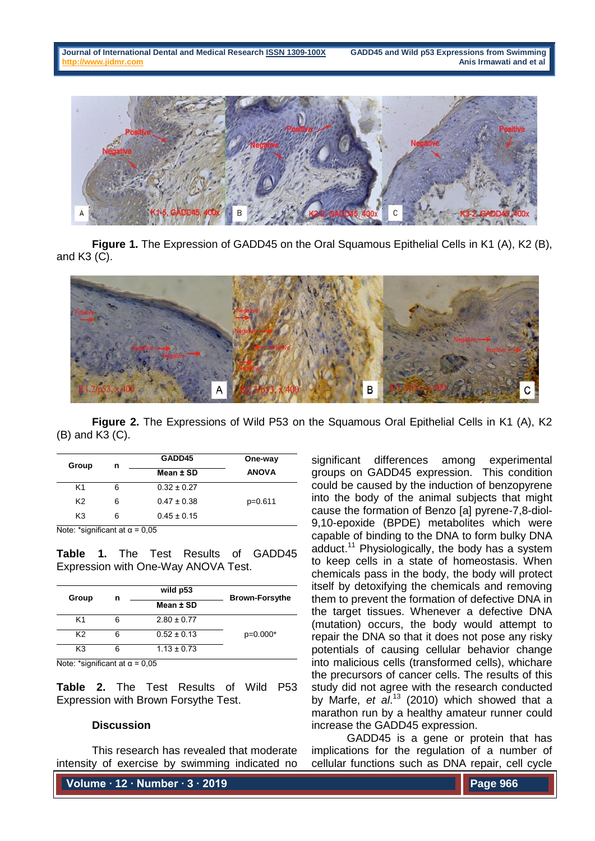

**Figure 1.** The Expression of GADD45 on the Oral Squamous Epithelial Cells in K1 (A), K2 (B), and K3 (C).



**Figure 2.** The Expressions of Wild P53 on the Squamous Oral Epithelial Cells in K1 (A), K2 (B) and K3 (C).

|   | GADD45          | One-way      |
|---|-----------------|--------------|
|   | Mean ± SD       | <b>ANOVA</b> |
| 6 | $0.32 \pm 0.27$ |              |
| 6 | $0.47 \pm 0.38$ | $p=0.611$    |
| 6 | $0.45 \pm 0.15$ |              |
|   | n               |              |

Note: \*significant at  $\alpha$  = 0,05

**Table 1.** The Test Results of GADD45 Expression with One-Way ANOVA Test.

| Group | n | wild p53        | <b>Brown-Forsythe</b> |
|-------|---|-----------------|-----------------------|
|       |   | Mean ± SD       |                       |
| K1    | 6 | $2.80 \pm 0.77$ |                       |
| K2    | 6 | $0.52 \pm 0.13$ | $p=0.000*$            |
| K3    |   | $1.13 \pm 0.73$ |                       |

Note: \*significant at  $\alpha$  = 0,05

**Table 2.** The Test Results of Wild P53 Expression with Brown Forsythe Test.

#### **Discussion**

This research has revealed that moderate intensity of exercise by swimming indicated no

**Volume ∙ 12 ∙ Number ∙ 3 ∙ 2019**

significant differences among experimental groups on GADD45 expression. This condition could be caused by the induction of benzopyrene into the body of the animal subjects that might cause the formation of Benzo [a] pyrene-7,8-diol-9,10-epoxide (BPDE) metabolites which were capable of binding to the DNA to form bulky DNA adduct.<sup>11</sup> Physiologically, the body has a system to keep cells in a state of homeostasis. When chemicals pass in the body, the body will protect itself by detoxifying the chemicals and removing them to prevent the formation of defective DNA in the target tissues. Whenever a defective DNA (mutation) occurs, the body would attempt to repair the DNA so that it does not pose any risky potentials of causing cellular behavior change into malicious cells (transformed cells), whichare the precursors of cancer cells. The results of this study did not agree with the research conducted by Marfe, *et al*. <sup>13</sup> (2010) which showed that a marathon run by a healthy amateur runner could increase the GADD45 expression.

GADD45 is a gene or protein that has implications for the regulation of a number of cellular functions such as DNA repair, cell cycle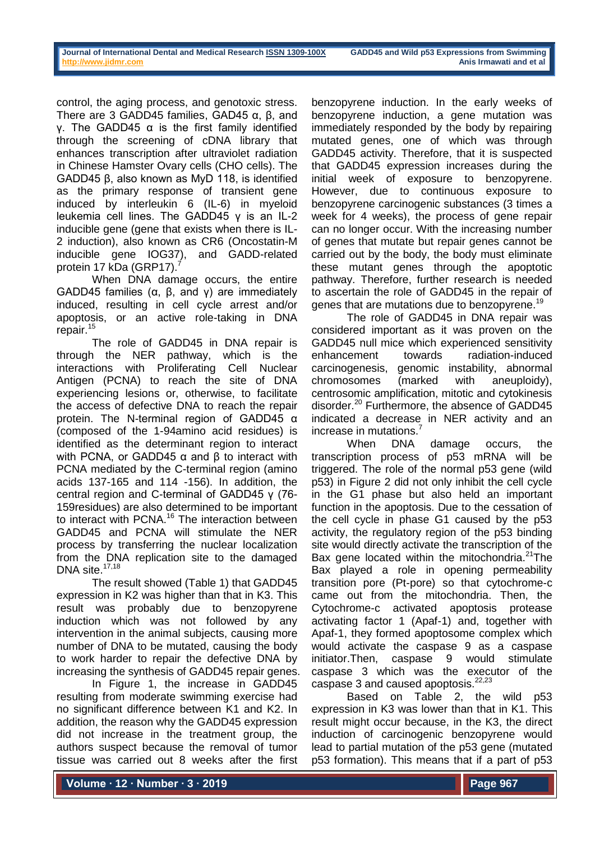control, the aging process, and genotoxic stress. There are 3 GADD45 families, GAD45 α, β, and γ. The GADD45 α is the first family identified through the screening of cDNA library that enhances transcription after ultraviolet radiation in Chinese Hamster Ovary cells (CHO cells). The GADD45 β, also known as MyD 118, is identified as the primary response of transient gene induced by interleukin 6 (IL-6) in myeloid leukemia cell lines. The GADD45 γ is an IL-2 inducible gene (gene that exists when there is IL-2 induction), also known as CR6 (Oncostatin-M inducible gene IOG37), and GADD-related protein 17 kDa (GRP17).

When DNA damage occurs, the entire GADD45 families (α, β, and γ) are immediately induced, resulting in cell cycle arrest and/or apoptosis, or an active role-taking in DNA repair.<sup>15</sup>

The role of GADD45 in DNA repair is through the NER pathway, which is the interactions with Proliferating Cell Nuclear Antigen (PCNA) to reach the site of DNA experiencing lesions or, otherwise, to facilitate the access of defective DNA to reach the repair protein. The N-terminal region of GADD45 α (composed of the 1-94amino acid residues) is identified as the determinant region to interact with PCNA, or GADD45  $\alpha$  and  $\beta$  to interact with PCNA mediated by the C-terminal region (amino acids 137-165 and 114 -156). In addition, the central region and C-terminal of GADD45 γ (76- 159residues) are also determined to be important to interact with PCNA.<sup>16</sup> The interaction between GADD45 and PCNA will stimulate the NER process by transferring the nuclear localization from the DNA replication site to the damaged DNA site. $17,18$ 

The result showed (Table 1) that GADD45 expression in K2 was higher than that in K3. This result was probably due to benzopyrene induction which was not followed by any intervention in the animal subjects, causing more number of DNA to be mutated, causing the body to work harder to repair the defective DNA by increasing the synthesis of GADD45 repair genes.

In Figure 1, the increase in GADD45 resulting from moderate swimming exercise had no significant difference between K1 and K2. In addition, the reason why the GADD45 expression did not increase in the treatment group, the authors suspect because the removal of tumor tissue was carried out 8 weeks after the first

benzopyrene induction. In the early weeks of benzopyrene induction, a gene mutation was immediately responded by the body by repairing mutated genes, one of which was through GADD45 activity. Therefore, that it is suspected that GADD45 expression increases during the initial week of exposure to benzopyrene. However, due to continuous exposure to benzopyrene carcinogenic substances (3 times a week for 4 weeks), the process of gene repair can no longer occur. With the increasing number of genes that mutate but repair genes cannot be carried out by the body, the body must eliminate these mutant genes through the apoptotic pathway. Therefore, further research is needed to ascertain the role of GADD45 in the repair of genes that are mutations due to benzopyrene.<sup>19</sup>

The role of GADD45 in DNA repair was considered important as it was proven on the GADD45 null mice which experienced sensitivity enhancement towards radiation-induced carcinogenesis, genomic instability, abnormal chromosomes (marked with aneuploidy), centrosomic amplification, mitotic and cytokinesis disorder.<sup>20</sup> Furthermore, the absence of GADD45 indicated a decrease in NER activity and an increase in mutations.

When DNA damage occurs, the transcription process of p53 mRNA will be triggered. The role of the normal p53 gene (wild p53) in Figure 2 did not only inhibit the cell cycle in the G1 phase but also held an important function in the apoptosis. Due to the cessation of the cell cycle in phase G1 caused by the p53 activity, the regulatory region of the p53 binding site would directly activate the transcription of the Bax gene located within the mitochondria.<sup>21</sup>The Bax played a role in opening permeability transition pore (Pt-pore) so that cytochrome-c came out from the mitochondria. Then, the Cytochrome-c activated apoptosis protease activating factor 1 (Apaf-1) and, together with Apaf-1, they formed apoptosome complex which would activate the caspase 9 as a caspase initiator.Then, caspase 9 would stimulate caspase 3 which was the executor of the caspase 3 and caused apoptosis.<sup>22,23</sup>

Based on Table 2, the wild p53 expression in K3 was lower than that in K1. This result might occur because, in the K3, the direct induction of carcinogenic benzopyrene would lead to partial mutation of the p53 gene (mutated p53 formation). This means that if a part of p53

**Volume ∙ 12 ∙ Number ∙ 3 ∙ 2019**